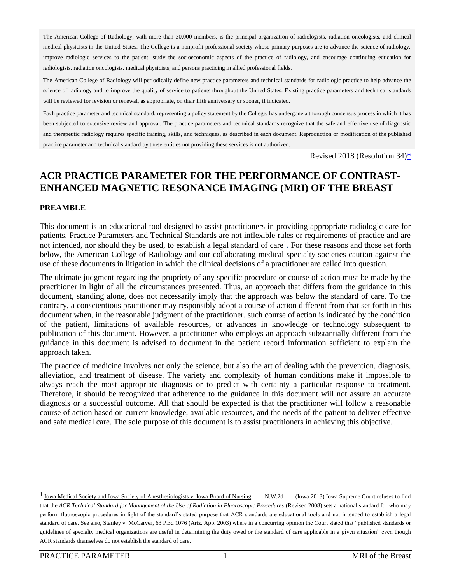The American College of Radiology, with more than 30,000 members, is the principal organization of radiologists, radiation oncologists, and clinical medical physicists in the United States. The College is a nonprofit professional society whose primary purposes are to advance the science of radiology, improve radiologic services to the patient, study the socioeconomic aspects of the practice of radiology, and encourage continuing education for radiologists, radiation oncologists, medical physicists, and persons practicing in allied professional fields.

The American College of Radiology will periodically define new practice parameters and technical standards for radiologic practice to help advance the science of radiology and to improve the quality of service to patients throughout the United States. Existing practice parameters and technical standards will be reviewed for revision or renewal, as appropriate, on their fifth anniversary or sooner, if indicated.

Each practice parameter and technical standard, representing a policy statement by the College, has undergone a thorough consensus process in which it has been subjected to extensive review and approval. The practice parameters and technical standards recognize that the safe and effective use of diagnostic and therapeutic radiology requires specific training, skills, and techniques, as described in each document. Reproduction or modification of the published practice parameter and technical standard by those entities not providing these services is not authorized.

Revised 2018 (Resolution 34[\)\\*](#page-10-0)

# **ACR PRACTICE PARAMETER FOR THE PERFORMANCE OF CONTRAST-ENHANCED MAGNETIC RESONANCE IMAGING (MRI) OF THE BREAST**

#### **PREAMBLE**

This document is an educational tool designed to assist practitioners in providing appropriate radiologic care for patients. Practice Parameters and Technical Standards are not inflexible rules or requirements of practice and are not intended, nor should they be used, to establish a legal standard of care<sup>1</sup>. For these reasons and those set forth below, the American College of Radiology and our collaborating medical specialty societies caution against the use of these documents in litigation in which the clinical decisions of a practitioner are called into question.

The ultimate judgment regarding the propriety of any specific procedure or course of action must be made by the practitioner in light of all the circumstances presented. Thus, an approach that differs from the guidance in this document, standing alone, does not necessarily imply that the approach was below the standard of care. To the contrary, a conscientious practitioner may responsibly adopt a course of action different from that set forth in this document when, in the reasonable judgment of the practitioner, such course of action is indicated by the condition of the patient, limitations of available resources, or advances in knowledge or technology subsequent to publication of this document. However, a practitioner who employs an approach substantially different from the guidance in this document is advised to document in the patient record information sufficient to explain the approach taken.

The practice of medicine involves not only the science, but also the art of dealing with the prevention, diagnosis, alleviation, and treatment of disease. The variety and complexity of human conditions make it impossible to always reach the most appropriate diagnosis or to predict with certainty a particular response to treatment. Therefore, it should be recognized that adherence to the guidance in this document will not assure an accurate diagnosis or a successful outcome. All that should be expected is that the practitioner will follow a reasonable course of action based on current knowledge, available resources, and the needs of the patient to deliver effective and safe medical care. The sole purpose of this document is to assist practitioners in achieving this objective.

l

<sup>&</sup>lt;sup>1</sup> Iowa Medical Society and Iowa Society of Anesthesiologists v. Iowa Board of Nursing, \_\_\_ N.W.2d \_\_\_ (Iowa 2013) Iowa Supreme Court refuses to find that the *ACR Technical Standard for Management of the Use of Radiation in Fluoroscopic Procedures* (Revised 2008) sets a national standard for who may perform fluoroscopic procedures in light of the standard's stated purpose that ACR standards are educational tools and not intended to establish a legal standard of care. See also, Stanley v. McCarver, 63 P.3d 1076 (Ariz. App. 2003) where in a concurring opinion the Court stated that "published standards or guidelines of specialty medical organizations are useful in determining the duty owed or the standard of care applicable in a given situation" even though ACR standards themselves do not establish the standard of care.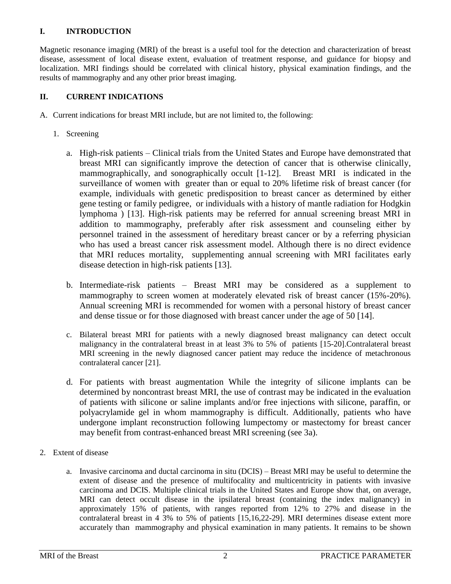### **I. INTRODUCTION**

Magnetic resonance imaging (MRI) of the breast is a useful tool for the detection and characterization of breast disease, assessment of local disease extent, evaluation of treatment response, and guidance for biopsy and localization. MRI findings should be correlated with clinical history, physical examination findings, and the results of mammography and any other prior breast imaging.

## **II. CURRENT INDICATIONS**

- A. Current indications for breast MRI include, but are not limited to, the following:
	- 1. Screening
		- a. High-risk patients Clinical trials from the United States and Europe have demonstrated that breast MRI can significantly improve the detection of cancer that is otherwise clinically, mammographically, and sonographically occult [\[1-12\]](#page-7-0). Breast MRI is indicated in the surveillance of women with greater than or equal to 20% lifetime risk of breast cancer (for example, individuals with genetic predisposition to breast cancer as determined by either gene testing or family pedigree, or individuals with a history of mantle radiation for Hodgkin lymphoma ) [\[13\]](#page-7-1). High-risk patients may be referred for annual screening breast MRI in addition to mammography, preferably after risk assessment and counseling either by personnel trained in the assessment of hereditary breast cancer or by a referring physician who has used a breast cancer risk assessment model. Although there is no direct evidence that MRI reduces mortality, supplementing annual screening with MRI facilitates early disease detection in high-risk patients [\[13\]](#page-7-1).
		- b. Intermediate-risk patients Breast MRI may be considered as a supplement to mammography to screen women at moderately elevated risk of breast cancer (15%-20%). Annual screening MRI is recommended for women with a personal history of breast cancer and dense tissue or for those diagnosed with breast cancer under the age of 50 [\[14\]](#page-7-2).
		- c. Bilateral breast MRI for patients with a newly diagnosed breast malignancy can detect occult malignancy in the contralateral breast in at least 3% to 5% of patients [\[15-20\]](#page-7-3).Contralateral breast MRI screening in the newly diagnosed cancer patient may reduce the incidence of metachronous contralateral cancer [\[21\]](#page-7-4).
		- d. For patients with breast augmentation While the integrity of silicone implants can be determined by noncontrast breast MRI, the use of contrast may be indicated in the evaluation of patients with silicone or saline implants and/or free injections with silicone, paraffin, or polyacrylamide gel in whom mammography is difficult. Additionally, patients who have undergone implant reconstruction following lumpectomy or mastectomy for breast cancer may benefit from contrast-enhanced breast MRI screening (see 3a).
- 2. Extent of disease
	- a. Invasive carcinoma and ductal carcinoma in situ (DCIS) Breast MRI may be useful to determine the extent of disease and the presence of multifocality and multicentricity in patients with invasive carcinoma and DCIS. Multiple clinical trials in the United States and Europe show that, on average, MRI can detect occult disease in the ipsilateral breast (containing the index malignancy) in approximately 15% of patients, with ranges reported from 12% to 27% and disease in the contralateral breast in 4 3% to 5% of patients [\[15](#page-7-3)[,16](#page-7-5)[,22-29\]](#page-8-0). MRI determines disease extent more accurately than mammography and physical examination in many patients. It remains to be shown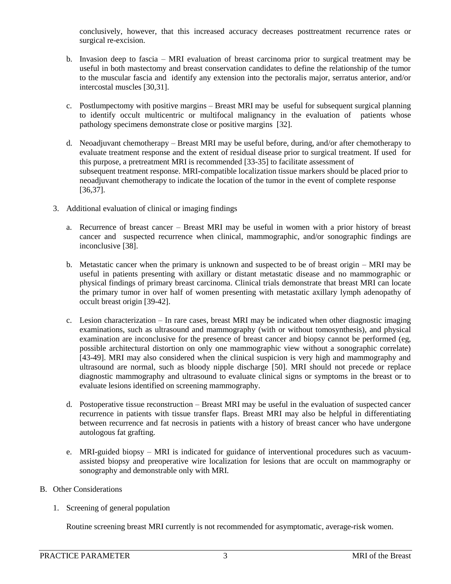conclusively, however, that this increased accuracy decreases posttreatment recurrence rates or surgical re-excision.

- b. Invasion deep to fascia MRI evaluation of breast carcinoma prior to surgical treatment may be useful in both mastectomy and breast conservation candidates to define the relationship of the tumor to the muscular fascia and identify any extension into the pectoralis major, serratus anterior, and/or intercostal muscles [\[30,](#page-8-1)[31\]](#page-8-2).
- c. Postlumpectomy with positive margins Breast MRI may be useful for subsequent surgical planning to identify occult multicentric or multifocal malignancy in the evaluation of patients whose pathology specimens demonstrate close or positive margins [\[32\]](#page-8-3).
- d. Neoadjuvant chemotherapy Breast MRI may be useful before, during, and/or after chemotherapy to evaluate treatment response and the extent of residual disease prior to surgical treatment. If used for this purpose, a pretreatment MRI is recommended [\[33-35\]](#page-8-4) to facilitate assessment of subsequent treatment response. MRI-compatible localization tissue markers should be placed prior to neoadjuvant chemotherapy to indicate the location of the tumor in the event of complete response [\[36](#page-8-5)[,37\]](#page-8-6).
- 3. Additional evaluation of clinical or imaging findings
	- a. Recurrence of breast cancer Breast MRI may be useful in women with a prior history of breast cancer and suspected recurrence when clinical, mammographic, and/or sonographic findings are inconclusive [\[38\]](#page-8-7).
	- b. Metastatic cancer when the primary is unknown and suspected to be of breast origin MRI may be useful in patients presenting with axillary or distant metastatic disease and no mammographic or physical findings of primary breast carcinoma. Clinical trials demonstrate that breast MRI can locate the primary tumor in over half of women presenting with metastatic axillary lymph adenopathy of occult breast origin [\[39-42\]](#page-8-8).
	- c. Lesion characterization In rare cases, breast MRI may be indicated when other diagnostic imaging examinations, such as ultrasound and mammography (with or without tomosynthesis), and physical examination are inconclusive for the presence of breast cancer and biopsy cannot be performed (eg, possible architectural distortion on only one mammographic view without a sonographic correlate) [\[43-49\]](#page-9-0). MRI may also considered when the clinical suspicion is very high and mammography and ultrasound are normal, such as bloody nipple discharge [\[50\]](#page-9-1). MRI should not precede or replace diagnostic mammography and ultrasound to evaluate clinical signs or symptoms in the breast or to evaluate lesions identified on screening mammography.
	- d. Postoperative tissue reconstruction Breast MRI may be useful in the evaluation of suspected cancer recurrence in patients with tissue transfer flaps. Breast MRI may also be helpful in differentiating between recurrence and fat necrosis in patients with a history of breast cancer who have undergone autologous fat grafting.
	- e. MRI-guided biopsy MRI is indicated for guidance of interventional procedures such as vacuumassisted biopsy and preoperative wire localization for lesions that are occult on mammography or sonography and demonstrable only with MRI.
- B. Other Considerations
	- 1. Screening of general population

Routine screening breast MRI currently is not recommended for asymptomatic, average-risk women.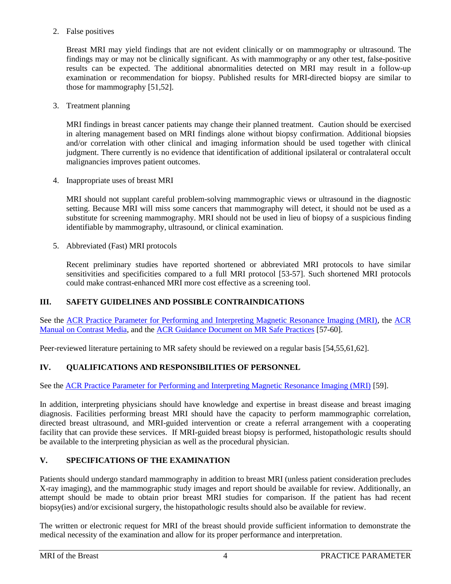2. False positives

Breast MRI may yield findings that are not evident clinically or on mammography or ultrasound. The findings may or may not be clinically significant. As with mammography or any other test, false-positive results can be expected. The additional abnormalities detected on MRI may result in a follow-up examination or recommendation for biopsy. Published results for MRI-directed biopsy are similar to those for mammography [\[51](#page-9-2)[,52\]](#page-9-3).

3. Treatment planning

MRI findings in breast cancer patients may change their planned treatment. Caution should be exercised in altering management based on MRI findings alone without biopsy confirmation. Additional biopsies and/or correlation with other clinical and imaging information should be used together with clinical judgment. There currently is no evidence that identification of additional ipsilateral or contralateral occult malignancies improves patient outcomes.

4. Inappropriate uses of breast MRI

MRI should not supplant careful problem-solving mammographic views or ultrasound in the diagnostic setting. Because MRI will miss some cancers that mammography will detect, it should not be used as a substitute for screening mammography. MRI should not be used in lieu of biopsy of a suspicious finding identifiable by mammography, ultrasound, or clinical examination.

5. Abbreviated (Fast) MRI protocols

Recent preliminary studies have reported shortened or abbreviated MRI protocols to have similar sensitivities and specificities compared to a full MRI protocol [\[53-57\]](#page-9-4). Such shortened MRI protocols could make contrast-enhanced MRI more cost effective as a screening tool.

# **III. SAFETY GUIDELINES AND POSSIBLE CONTRAINDICATIONS**

See the ACR Practice Parameter [for Performing and Interpreting Magnetic Resonance Imaging \(MRI\),](https://www.acr.org/-/media/ACR/Files/Practice-Parameters/MR-Perf-Interpret.pdf) the [ACR](https://www.acr.org/Clinical-Resources/Contrast-Manual)  [Manual on Contrast Media,](https://www.acr.org/Clinical-Resources/Contrast-Manual) and the [ACR Guidance Document on](http://onlinelibrary.wiley.com/doi/10.1002/jmri.24011/pdf) MR Safe Practices [\[57-60\]](#page-9-5).

Peer-reviewed literature pertaining to MR safety should be reviewed on a regular basis [\[54](#page-9-6)[,55](#page-9-7)[,61](#page-9-8)[,62\]](#page-9-9).

# **IV. QUALIFICATIONS AND RESPONSIBILITIES OF PERSONNEL**

See the ACR Practice Parameter [for Performing and Interpreting Magnetic Resonance Imaging \(MRI\)](https://www.acr.org/-/media/ACR/Files/Practice-Parameters/MR-Perf-Interpret.pdf) [\[59\]](#page-9-10).

In addition, interpreting physicians should have knowledge and expertise in breast disease and breast imaging diagnosis. Facilities performing breast MRI should have the capacity to perform mammographic correlation, directed breast ultrasound, and MRI-guided intervention or create a referral arrangement with a cooperating facility that can provide these services. If MRI-guided breast biopsy is performed, histopathologic results should be available to the interpreting physician as well as the procedural physician.

# **V. SPECIFICATIONS OF THE EXAMINATION**

Patients should undergo standard mammography in addition to breast MRI (unless patient consideration precludes X-ray imaging), and the mammographic study images and report should be available for review. Additionally, an attempt should be made to obtain prior breast MRI studies for comparison. If the patient has had recent biopsy(ies) and/or excisional surgery, the histopathologic results should also be available for review.

The written or electronic request for MRI of the breast should provide sufficient information to demonstrate the medical necessity of the examination and allow for its proper performance and interpretation.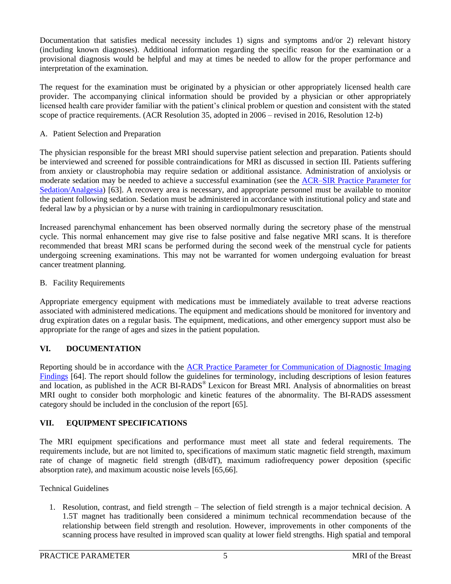Documentation that satisfies medical necessity includes 1) signs and symptoms and/or 2) relevant history (including known diagnoses). Additional information regarding the specific reason for the examination or a provisional diagnosis would be helpful and may at times be needed to allow for the proper performance and interpretation of the examination.

The request for the examination must be originated by a physician or other appropriately licensed health care provider. The accompanying clinical information should be provided by a physician or other appropriately licensed health care provider familiar with the patient's clinical problem or question and consistent with the stated scope of practice requirements. (ACR Resolution 35, adopted in 2006 – revised in 2016, Resolution 12-b)

#### A. Patient Selection and Preparation

The physician responsible for the breast MRI should supervise patient selection and preparation. Patients should be interviewed and screened for possible contraindications for MRI as discussed in section III. Patients suffering from anxiety or claustrophobia may require sedation or additional assistance. Administration of anxiolysis or moderate sedation may be needed to achieve a successful examination (see the [ACR–SIR Practice Parameter for](https://www.acr.org/-/media/ACR/Files/Practice-Parameters/Sed-Analgesia.pdf)  [Sedation/Analgesia\)](https://www.acr.org/-/media/ACR/Files/Practice-Parameters/Sed-Analgesia.pdf) [\[63\]](#page-9-11). A recovery area is necessary, and appropriate personnel must be available to monitor the patient following sedation. Sedation must be administered in accordance with institutional policy and state and federal law by a physician or by a nurse with training in cardiopulmonary resuscitation.

Increased parenchymal enhancement has been observed normally during the secretory phase of the menstrual cycle. This normal enhancement may give rise to false positive and false negative MRI scans. It is therefore recommended that breast MRI scans be performed during the second week of the menstrual cycle for patients undergoing screening examinations. This may not be warranted for women undergoing evaluation for breast cancer treatment planning.

#### B. Facility Requirements

Appropriate emergency equipment with medications must be immediately available to treat adverse reactions associated with administered medications. The equipment and medications should be monitored for inventory and drug expiration dates on a regular basis. The equipment, medications, and other emergency support must also be appropriate for the range of ages and sizes in the patient population.

#### **VI. DOCUMENTATION**

Reporting should be in accordance with the [ACR Practice Parameter](https://www.acr.org/-/media/ACR/Files/Practice-Parameters/CommunicationDiag.pdf) for Communication of Diagnostic Imaging [Findings](https://www.acr.org/-/media/ACR/Files/Practice-Parameters/CommunicationDiag.pdf) [\[64\]](#page-9-12). The report should follow the guidelines for terminology, including descriptions of lesion features and location, as published in the ACR BI-RADS® Lexicon for Breast MRI. Analysis of abnormalities on breast MRI ought to consider both morphologic and kinetic features of the abnormality. The BI-RADS assessment category should be included in the conclusion of the report [\[65\]](#page-10-1).

#### **VII. EQUIPMENT SPECIFICATIONS**

The MRI equipment specifications and performance must meet all state and federal requirements. The requirements include, but are not limited to, specifications of maximum static magnetic field strength, maximum rate of change of magnetic field strength (dB/dT), maximum radiofrequency power deposition (specific absorption rate), and maximum acoustic noise levels [\[65](#page-10-1)[,66\]](#page-10-2).

#### Technical Guidelines

1. Resolution, contrast, and field strength – The selection of field strength is a major technical decision. A 1.5T magnet has traditionally been considered a minimum technical recommendation because of the relationship between field strength and resolution. However, improvements in other components of the scanning process have resulted in improved scan quality at lower field strengths. High spatial and temporal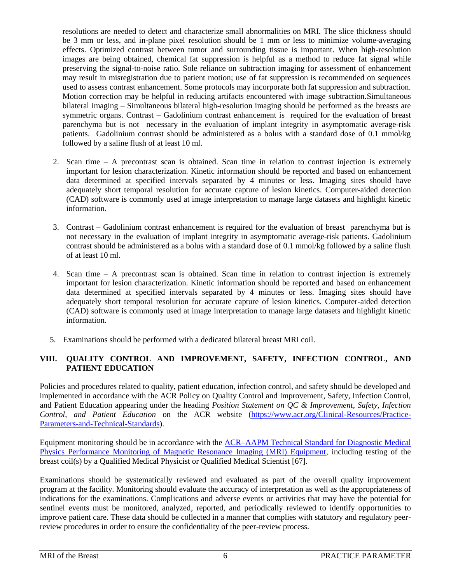resolutions are needed to detect and characterize small abnormalities on MRI. The slice thickness should be 3 mm or less, and in-plane pixel resolution should be 1 mm or less to minimize volume-averaging effects. Optimized contrast between tumor and surrounding tissue is important. When high-resolution images are being obtained, chemical fat suppression is helpful as a method to reduce fat signal while preserving the signal-to-noise ratio. Sole reliance on subtraction imaging for assessment of enhancement may result in misregistration due to patient motion; use of fat suppression is recommended on sequences used to assess contrast enhancement. Some protocols may incorporate both fat suppression and subtraction. Motion correction may be helpful in reducing artifacts encountered with image subtraction.Simultaneous bilateral imaging – Simultaneous bilateral high-resolution imaging should be performed as the breasts are symmetric organs. Contrast – Gadolinium contrast enhancement is required for the evaluation of breast parenchyma but is not necessary in the evaluation of implant integrity in asymptomatic average-risk patients. Gadolinium contrast should be administered as a bolus with a standard dose of 0.1 mmol/kg followed by a saline flush of at least 10 ml.

- 2. Scan time A precontrast scan is obtained. Scan time in relation to contrast injection is extremely important for lesion characterization. Kinetic information should be reported and based on enhancement data determined at specified intervals separated by 4 minutes or less. Imaging sites should have adequately short temporal resolution for accurate capture of lesion kinetics. Computer-aided detection (CAD) software is commonly used at image interpretation to manage large datasets and highlight kinetic information.
- 3. Contrast Gadolinium contrast enhancement is required for the evaluation of breast parenchyma but is not necessary in the evaluation of implant integrity in asymptomatic average-risk patients. Gadolinium contrast should be administered as a bolus with a standard dose of 0.1 mmol/kg followed by a saline flush of at least 10 ml.
- 4. Scan time A precontrast scan is obtained. Scan time in relation to contrast injection is extremely important for lesion characterization. Kinetic information should be reported and based on enhancement data determined at specified intervals separated by 4 minutes or less. Imaging sites should have adequately short temporal resolution for accurate capture of lesion kinetics. Computer-aided detection (CAD) software is commonly used at image interpretation to manage large datasets and highlight kinetic information.
- 5. Examinations should be performed with a dedicated bilateral breast MRI coil.

### **VIII. QUALITY CONTROL AND IMPROVEMENT, SAFETY, INFECTION CONTROL, AND PATIENT EDUCATION**

Policies and procedures related to quality, patient education, infection control, and safety should be developed and implemented in accordance with the ACR Policy on Quality Control and Improvement, Safety, Infection Control, and Patient Education appearing under the heading *Position Statement on QC & Improvement, Safety, Infection Control*, *and Patient Education* on the ACR website [\(https://www.acr.org/Clinical-Resources/Practice-](https://www.acr.org/Clinical-Resources/Practice-Parameters-and-Technical-Standards)[Parameters-and-Technical-Standards\)](https://www.acr.org/Clinical-Resources/Practice-Parameters-and-Technical-Standards).

Equipment monitoring should be in accordance with the ACR–AAPM Technical [Standard for Diagnostic Medical](https://www.acr.org/-/media/ACR/Files/Practice-Parameters/MR-Equip.pdf)  Physics [Performance Monitoring of Magnetic Resonance Imaging \(MRI\) Equipment,](https://www.acr.org/-/media/ACR/Files/Practice-Parameters/MR-Equip.pdf) including testing of the breast coil(s) by a Qualified Medical Physicist or Qualified Medical Scientist [\[67\]](#page-10-3).

Examinations should be systematically reviewed and evaluated as part of the overall quality improvement program at the facility. Monitoring should evaluate the accuracy of interpretation as well as the appropriateness of indications for the examinations. Complications and adverse events or activities that may have the potential for sentinel events must be monitored, analyzed, reported, and periodically reviewed to identify opportunities to improve patient care. These data should be collected in a manner that complies with statutory and regulatory peerreview procedures in order to ensure the confidentiality of the peer-review process.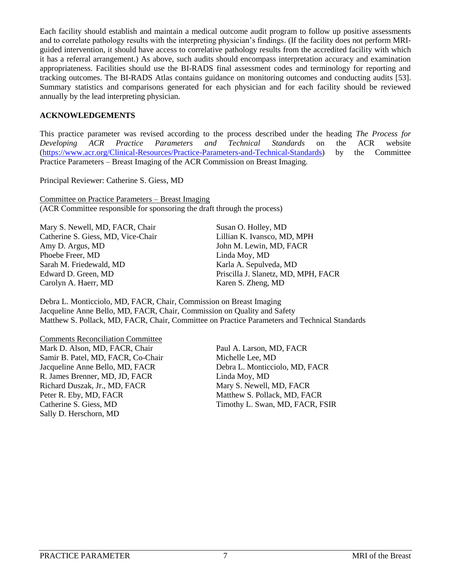Each facility should establish and maintain a medical outcome audit program to follow up positive assessments and to correlate pathology results with the interpreting physician's findings. (If the facility does not perform MRIguided intervention, it should have access to correlative pathology results from the accredited facility with which it has a referral arrangement.) As above, such audits should encompass interpretation accuracy and examination appropriateness. Facilities should use the BI-RADS final assessment codes and terminology for reporting and tracking outcomes. The BI-RADS Atlas contains guidance on monitoring outcomes and conducting audits [\[53\]](#page-9-4). Summary statistics and comparisons generated for each physician and for each facility should be reviewed annually by the lead interpreting physician.

#### **ACKNOWLEDGEMENTS**

This practice parameter was revised according to the process described under the heading *The Process for Developing ACR Practice Parameters and Technical Standards* on the ACR website [\(https://www.acr.org/Clinical-Resources/Practice-Parameters-and-Technical-Standards\)](https://www.acr.org/Clinical-Resources/Practice-Parameters-and-Technical-Standards) by the Committee Practice Parameters – Breast Imaging of the ACR Commission on Breast Imaging.

Principal Reviewer: Catherine S. Giess, MD

Committee on Practice Parameters – Breast Imaging (ACR Committee responsible for sponsoring the draft through the process)

Mary S. Newell, MD, FACR, Chair Susan O. Holley, MD Catherine S. Giess, MD, Vice-Chair Lillian K. Ivansco, MD, MPH Amy D. Argus, MD John M. Lewin, MD, FACR Phoebe Freer, MD Linda Moy, MD Sarah M. Friedewald, MD Karla A. Sepulveda, MD Carolyn A. Haerr, MD Karen S. Zheng, MD

Edward D. Green, MD Priscilla J. Slanetz, MD, MPH, FACR

Debra L. Monticciolo, MD, FACR, Chair, Commission on Breast Imaging Jacqueline Anne Bello, MD, FACR, Chair, Commission on Quality and Safety Matthew S. Pollack, MD, FACR, Chair, Committee on Practice Parameters and Technical Standards

Comments Reconciliation Committee

Mark D. Alson, MD, FACR, Chair Paul A. Larson, MD, FACR Samir B. Patel, MD, FACR, Co-Chair Michelle Lee, MD Jacqueline Anne Bello, MD, FACR Debra L. Monticciolo, MD, FACR R. James Brenner, MD, JD, FACR Linda Moy, MD Richard Duszak, Jr., MD, FACR Mary S. Newell, MD, FACR Peter R. Eby, MD, FACR Matthew S. Pollack, MD, FACR Catherine S. Giess, MD Timothy L. Swan, MD, FACR, FSIR Sally D. Herschorn, MD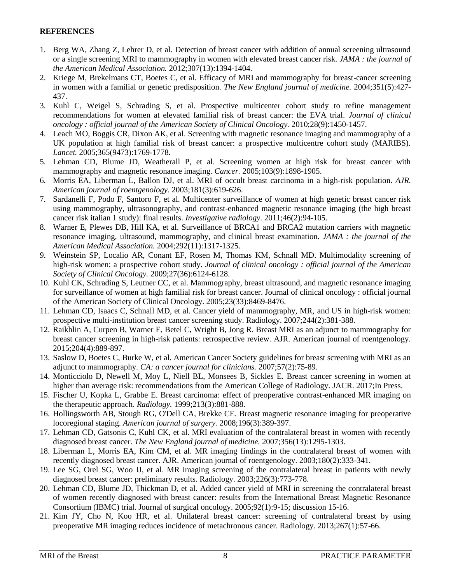#### **REFERENCES**

- <span id="page-7-0"></span>1. Berg WA, Zhang Z, Lehrer D, et al. Detection of breast cancer with addition of annual screening ultrasound or a single screening MRI to mammography in women with elevated breast cancer risk. *JAMA : the journal of the American Medical Association.* 2012;307(13):1394-1404.
- 2. Kriege M, Brekelmans CT, Boetes C, et al. Efficacy of MRI and mammography for breast-cancer screening in women with a familial or genetic predisposition. *The New England journal of medicine.* 2004;351(5):427- 437.
- 3. Kuhl C, Weigel S, Schrading S, et al. Prospective multicenter cohort study to refine management recommendations for women at elevated familial risk of breast cancer: the EVA trial. *Journal of clinical oncology : official journal of the American Society of Clinical Oncology.* 2010;28(9):1450-1457.
- 4. Leach MO, Boggis CR, Dixon AK, et al. Screening with magnetic resonance imaging and mammography of a UK population at high familial risk of breast cancer: a prospective multicentre cohort study (MARIBS). *Lancet.* 2005;365(9473):1769-1778.
- 5. Lehman CD, Blume JD, Weatherall P, et al. Screening women at high risk for breast cancer with mammography and magnetic resonance imaging. *Cancer.* 2005;103(9):1898-1905.
- 6. Morris EA, Liberman L, Ballon DJ, et al. MRI of occult breast carcinoma in a high-risk population. *AJR. American journal of roentgenology.* 2003;181(3):619-626.
- 7. Sardanelli F, Podo F, Santoro F, et al. Multicenter surveillance of women at high genetic breast cancer risk using mammography, ultrasonography, and contrast-enhanced magnetic resonance imaging (the high breast cancer risk italian 1 study): final results. *Investigative radiology.* 2011;46(2):94-105.
- 8. Warner E, Plewes DB, Hill KA, et al. Surveillance of BRCA1 and BRCA2 mutation carriers with magnetic resonance imaging, ultrasound, mammography, and clinical breast examination. *JAMA : the journal of the American Medical Association.* 2004;292(11):1317-1325.
- 9. Weinstein SP, Localio AR, Conant EF, Rosen M, Thomas KM, Schnall MD. Multimodality screening of high-risk women: a prospective cohort study. *Journal of clinical oncology : official journal of the American Society of Clinical Oncology.* 2009;27(36):6124-6128.
- 10. Kuhl CK, Schrading S, Leutner CC, et al. Mammography, breast ultrasound, and magnetic resonance imaging for surveillance of women at high familial risk for breast cancer. Journal of clinical oncology : official journal of the American Society of Clinical Oncology. 2005;23(33):8469-8476.
- 11. Lehman CD, Isaacs C, Schnall MD, et al. Cancer yield of mammography, MR, and US in high-risk women: prospective multi-institution breast cancer screening study. Radiology. 2007;244(2):381-388.
- 12. Raikhlin A, Curpen B, Warner E, Betel C, Wright B, Jong R. Breast MRI as an adjunct to mammography for breast cancer screening in high-risk patients: retrospective review. AJR. American journal of roentgenology. 2015;204(4):889-897.
- <span id="page-7-1"></span>13. Saslow D, Boetes C, Burke W, et al. American Cancer Society guidelines for breast screening with MRI as an adjunct to mammography. *CA: a cancer journal for clinicians.* 2007;57(2):75-89.
- <span id="page-7-2"></span>14. Monticciolo D, Newell M, Moy L, Niell BL, Monsees B, Sickles E. Breast cancer screening in women at higher than average risk: recommendations from the American College of Radiology. JACR. 2017;In Press.
- <span id="page-7-3"></span>15. Fischer U, Kopka L, Grabbe E. Breast carcinoma: effect of preoperative contrast-enhanced MR imaging on the therapeutic approach. *Radiology.* 1999;213(3):881-888.
- <span id="page-7-5"></span>16. Hollingsworth AB, Stough RG, O'Dell CA, Brekke CE. Breast magnetic resonance imaging for preoperative locoregional staging. *American journal of surgery.* 2008;196(3):389-397.
- 17. Lehman CD, Gatsonis C, Kuhl CK, et al. MRI evaluation of the contralateral breast in women with recently diagnosed breast cancer. *The New England journal of medicine.* 2007;356(13):1295-1303.
- 18. Liberman L, Morris EA, Kim CM, et al. MR imaging findings in the contralateral breast of women with recently diagnosed breast cancer. AJR. American journal of roentgenology. 2003;180(2):333-341.
- 19. Lee SG, Orel SG, Woo IJ, et al. MR imaging screening of the contralateral breast in patients with newly diagnosed breast cancer: preliminary results. Radiology. 2003;226(3):773-778.
- 20. Lehman CD, Blume JD, Thickman D, et al. Added cancer yield of MRI in screening the contralateral breast of women recently diagnosed with breast cancer: results from the International Breast Magnetic Resonance Consortium (IBMC) trial. Journal of surgical oncology. 2005;92(1):9-15; discussion 15-16.
- <span id="page-7-4"></span>21. Kim JY, Cho N, Koo HR, et al. Unilateral breast cancer: screening of contralateral breast by using preoperative MR imaging reduces incidence of metachronous cancer. Radiology. 2013;267(1):57-66.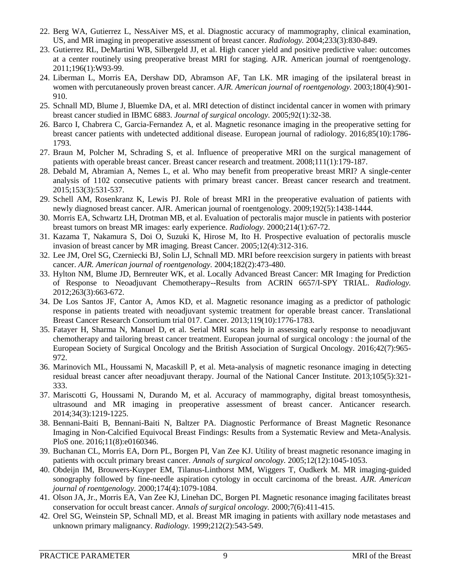- <span id="page-8-0"></span>22. Berg WA, Gutierrez L, NessAiver MS, et al. Diagnostic accuracy of mammography, clinical examination, US, and MR imaging in preoperative assessment of breast cancer. *Radiology.* 2004;233(3):830-849.
- 23. Gutierrez RL, DeMartini WB, Silbergeld JJ, et al. High cancer yield and positive predictive value: outcomes at a center routinely using preoperative breast MRI for staging. AJR. American journal of roentgenology. 2011;196(1):W93-99.
- 24. Liberman L, Morris EA, Dershaw DD, Abramson AF, Tan LK. MR imaging of the ipsilateral breast in women with percutaneously proven breast cancer. *AJR. American journal of roentgenology.* 2003;180(4):901- 910.
- 25. Schnall MD, Blume J, Bluemke DA, et al. MRI detection of distinct incidental cancer in women with primary breast cancer studied in IBMC 6883. *Journal of surgical oncology.* 2005;92(1):32-38.
- 26. Barco I, Chabrera C, Garcia-Fernandez A, et al. Magnetic resonance imaging in the preoperative setting for breast cancer patients with undetected additional disease. European journal of radiology. 2016;85(10):1786- 1793.
- 27. Braun M, Polcher M, Schrading S, et al. Influence of preoperative MRI on the surgical management of patients with operable breast cancer. Breast cancer research and treatment. 2008;111(1):179-187.
- 28. Debald M, Abramian A, Nemes L, et al. Who may benefit from preoperative breast MRI? A single-center analysis of 1102 consecutive patients with primary breast cancer. Breast cancer research and treatment. 2015;153(3):531-537.
- 29. Schell AM, Rosenkranz K, Lewis PJ. Role of breast MRI in the preoperative evaluation of patients with newly diagnosed breast cancer. AJR. American journal of roentgenology. 2009;192(5):1438-1444.
- <span id="page-8-1"></span>30. Morris EA, Schwartz LH, Drotman MB, et al. Evaluation of pectoralis major muscle in patients with posterior breast tumors on breast MR images: early experience. *Radiology.* 2000;214(1):67-72.
- <span id="page-8-2"></span>31. Kazama T, Nakamura S, Doi O, Suzuki K, Hirose M, Ito H. Prospective evaluation of pectoralis muscle invasion of breast cancer by MR imaging. Breast Cancer. 2005;12(4):312-316.
- <span id="page-8-3"></span>32. Lee JM, Orel SG, Czerniecki BJ, Solin LJ, Schnall MD. MRI before reexcision surgery in patients with breast cancer. *AJR. American journal of roentgenology.* 2004;182(2):473-480.
- <span id="page-8-4"></span>33. Hylton NM, Blume JD, Bernreuter WK, et al. Locally Advanced Breast Cancer: MR Imaging for Prediction of Response to Neoadjuvant Chemotherapy--Results from ACRIN 6657/I-SPY TRIAL. *Radiology.*  2012;263(3):663-672.
- 34. De Los Santos JF, Cantor A, Amos KD, et al. Magnetic resonance imaging as a predictor of pathologic response in patients treated with neoadjuvant systemic treatment for operable breast cancer. Translational Breast Cancer Research Consortium trial 017. Cancer. 2013;119(10):1776-1783.
- 35. Fatayer H, Sharma N, Manuel D, et al. Serial MRI scans help in assessing early response to neoadjuvant chemotherapy and tailoring breast cancer treatment. European journal of surgical oncology : the journal of the European Society of Surgical Oncology and the British Association of Surgical Oncology. 2016;42(7):965- 972.
- <span id="page-8-5"></span>36. Marinovich ML, Houssami N, Macaskill P, et al. Meta-analysis of magnetic resonance imaging in detecting residual breast cancer after neoadjuvant therapy. Journal of the National Cancer Institute. 2013;105(5):321- 333.
- <span id="page-8-6"></span>37. Mariscotti G, Houssami N, Durando M, et al. Accuracy of mammography, digital breast tomosynthesis, ultrasound and MR imaging in preoperative assessment of breast cancer. Anticancer research. 2014;34(3):1219-1225.
- <span id="page-8-7"></span>38. Bennani-Baiti B, Bennani-Baiti N, Baltzer PA. Diagnostic Performance of Breast Magnetic Resonance Imaging in Non-Calcified Equivocal Breast Findings: Results from a Systematic Review and Meta-Analysis. PloS one. 2016;11(8):e0160346.
- <span id="page-8-8"></span>39. Buchanan CL, Morris EA, Dorn PL, Borgen PI, Van Zee KJ. Utility of breast magnetic resonance imaging in patients with occult primary breast cancer. *Annals of surgical oncology.* 2005;12(12):1045-1053.
- 40. Obdeijn IM, Brouwers-Kuyper EM, Tilanus-Linthorst MM, Wiggers T, Oudkerk M. MR imaging-guided sonography followed by fine-needle aspiration cytology in occult carcinoma of the breast. *AJR. American journal of roentgenology.* 2000;174(4):1079-1084.
- 41. Olson JA, Jr., Morris EA, Van Zee KJ, Linehan DC, Borgen PI. Magnetic resonance imaging facilitates breast conservation for occult breast cancer. *Annals of surgical oncology.* 2000;7(6):411-415.
- 42. Orel SG, Weinstein SP, Schnall MD, et al. Breast MR imaging in patients with axillary node metastases and unknown primary malignancy. *Radiology.* 1999;212(2):543-549.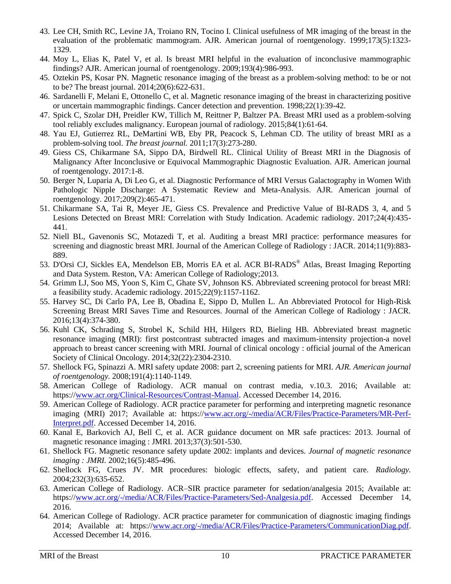- <span id="page-9-0"></span>43. Lee CH, Smith RC, Levine JA, Troiano RN, Tocino I. Clinical usefulness of MR imaging of the breast in the evaluation of the problematic mammogram. AJR. American journal of roentgenology. 1999;173(5):1323- 1329.
- 44. Moy L, Elias K, Patel V, et al. Is breast MRI helpful in the evaluation of inconclusive mammographic findings? AJR. American journal of roentgenology. 2009;193(4):986-993.
- 45. Oztekin PS, Kosar PN. Magnetic resonance imaging of the breast as a problem-solving method: to be or not to be? The breast journal. 2014;20(6):622-631.
- 46. Sardanelli F, Melani E, Ottonello C, et al. Magnetic resonance imaging of the breast in characterizing positive or uncertain mammographic findings. Cancer detection and prevention. 1998;22(1):39-42.
- 47. Spick C, Szolar DH, Preidler KW, Tillich M, Reittner P, Baltzer PA. Breast MRI used as a problem-solving tool reliably excludes malignancy. European journal of radiology. 2015;84(1):61-64.
- 48. Yau EJ, Gutierrez RL, DeMartini WB, Eby PR, Peacock S, Lehman CD. The utility of breast MRI as a problem-solving tool. *The breast journal.* 2011;17(3):273-280.
- 49. Giess CS, Chikarmane SA, Sippo DA, Birdwell RL. Clinical Utility of Breast MRI in the Diagnosis of Malignancy After Inconclusive or Equivocal Mammographic Diagnostic Evaluation. AJR. American journal of roentgenology. 2017:1-8.
- <span id="page-9-1"></span>50. Berger N, Luparia A, Di Leo G, et al. Diagnostic Performance of MRI Versus Galactography in Women With Pathologic Nipple Discharge: A Systematic Review and Meta-Analysis. AJR. American journal of roentgenology. 2017;209(2):465-471.
- <span id="page-9-2"></span>51. Chikarmane SA, Tai R, Meyer JE, Giess CS. Prevalence and Predictive Value of BI-RADS 3, 4, and 5 Lesions Detected on Breast MRI: Correlation with Study Indication. Academic radiology. 2017;24(4):435- 441.
- <span id="page-9-3"></span>52. Niell BL, Gavenonis SC, Motazedi T, et al. Auditing a breast MRI practice: performance measures for screening and diagnostic breast MRI. Journal of the American College of Radiology : JACR. 2014;11(9):883- 889.
- <span id="page-9-4"></span>53. D'Orsi CJ, Sickles EA, Mendelson EB, Morris EA et al. ACR BI-RADS® Atlas, Breast Imaging Reporting and Data System. Reston, VA: American College of Radiology;2013.
- <span id="page-9-6"></span>54. Grimm LJ, Soo MS, Yoon S, Kim C, Ghate SV, Johnson KS. Abbreviated screening protocol for breast MRI: a feasibility study. Academic radiology. 2015;22(9):1157-1162.
- <span id="page-9-7"></span>55. Harvey SC, Di Carlo PA, Lee B, Obadina E, Sippo D, Mullen L. An Abbreviated Protocol for High-Risk Screening Breast MRI Saves Time and Resources. Journal of the American College of Radiology : JACR. 2016;13(4):374-380.
- 56. Kuhl CK, Schrading S, Strobel K, Schild HH, Hilgers RD, Bieling HB. Abbreviated breast magnetic resonance imaging (MRI): first postcontrast subtracted images and maximum-intensity projection-a novel approach to breast cancer screening with MRI. Journal of clinical oncology : official journal of the American Society of Clinical Oncology. 2014;32(22):2304-2310.
- <span id="page-9-5"></span>57. Shellock FG, Spinazzi A. MRI safety update 2008: part 2, screening patients for MRI. *AJR. American journal of roentgenology.* 2008;191(4):1140-1149.
- 58. American College of Radiology. ACR manual on contrast media, v.10.3. 2016; Available at: https:/[/www.acr.org/Clinical-Resources/Contrast-Manual.](http://www.acr.org/Clinical-Resources/Contrast-Manual) Accessed December 14, 2016.
- <span id="page-9-10"></span>59. American College of Radiology. ACR practice parameter for performing and interpreting magnetic resonance imaging (MRI) 2017; Available at: https:/[/www.acr.org/-/media/ACR/Files/Practice-Parameters/MR-Perf-](http://www.acr.org/-/media/ACR/Files/Practice-Parameters/MR-Perf-Interpret.pdf)[Interpret.pdf.](http://www.acr.org/-/media/ACR/Files/Practice-Parameters/MR-Perf-Interpret.pdf) Accessed December 14, 2016.
- 60. Kanal E, Barkovich AJ, Bell C, et al. ACR guidance document on MR safe practices: 2013. Journal of magnetic resonance imaging : JMRI. 2013;37(3):501-530.
- <span id="page-9-8"></span>61. Shellock FG. Magnetic resonance safety update 2002: implants and devices. *Journal of magnetic resonance imaging : JMRI.* 2002;16(5):485-496.
- <span id="page-9-9"></span>62. Shellock FG, Crues JV. MR procedures: biologic effects, safety, and patient care. *Radiology.*  2004;232(3):635-652.
- <span id="page-9-11"></span>63. American College of Radiology. ACR–SIR practice parameter for sedation/analgesia 2015; Available at: https:/[/www.acr.org/-/media/ACR/Files/Practice-Parameters/Sed-Analgesia.pdf.](http://www.acr.org/-/media/ACR/Files/Practice-Parameters/Sed-Analgesia.pdf) Accessed December 14, 2016.
- <span id="page-9-12"></span>64. American College of Radiology. ACR practice parameter for communication of diagnostic imaging findings 2014; Available at: https:/[/www.acr.org/-/media/ACR/Files/Practice-Parameters/CommunicationDiag.pdf.](http://www.acr.org/-/media/ACR/Files/Practice-Parameters/CommunicationDiag.pdf) Accessed December 14, 2016.